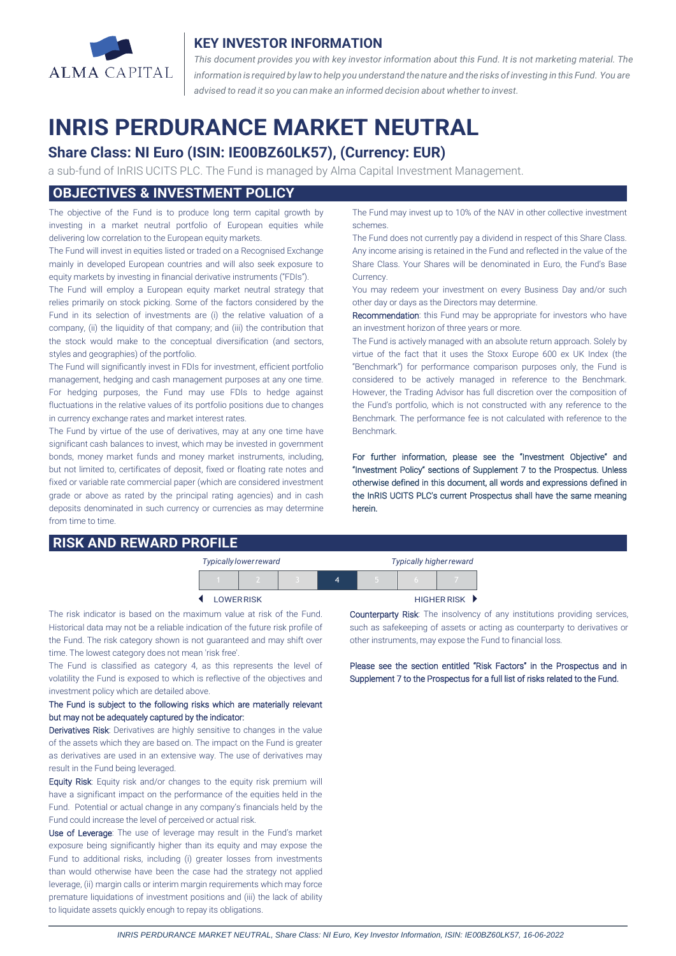

## **KEY INVESTOR INFORMATION**

*This document provides you with key investor information about this Fund. It is not marketing material. The* information is required by law to help you understand the nature and the risks of investing in this Fund. You are *advised to read it so you can make an informed decision about whether to invest.*

# **INRIS PERDURANCE MARKET NEUTRAL**

# **Share Class: NI Euro (ISIN: IE00BZ60LK57), (Currency: EUR)**

a sub-fund of InRIS UCITS PLC. The Fund is managed by Alma Capital Investment Management.

## **OBJECTIVES & INVESTMENT POLICY**

The objective of the Fund is to produce long term capital growth by investing in a market neutral portfolio of European equities while delivering low correlation to the European equity markets.

The Fund will invest in equities listed or traded on a Recognised Exchange mainly in developed European countries and will also seek exposure to equity markets by investing in financial derivative instruments ("FDIs").

The Fund will employ a European equity market neutral strategy that relies primarily on stock picking. Some of the factors considered by the Fund in its selection of investments are (i) the relative valuation of a company, (ii) the liquidity of that company; and (iii) the contribution that the stock would make to the conceptual diversification (and sectors, styles and geographies) of the portfolio.

The Fund will significantly invest in FDIs for investment, efficient portfolio management, hedging and cash management purposes at any one time. For hedging purposes, the Fund may use FDIs to hedge against fluctuations in the relative values of its portfolio positions due to changes in currency exchange rates and market interest rates.

The Fund by virtue of the use of derivatives, may at any one time have significant cash balances to invest, which may be invested in government bonds, money market funds and money market instruments, including, but not limited to, certificates of deposit, fixed or floating rate notes and fixed or variable rate commercial paper (which are considered investment grade or above as rated by the principal rating agencies) and in cash deposits denominated in such currency or currencies as may determine from time to time.

# **RISK AND REWARD PROFILE**

The Fund may invest up to 10% of the NAV in other collective investment schemes.

The Fund does not currently pay a dividend in respect of this Share Class. Any income arising is retained in the Fund and reflected in the value of the Share Class. Your Shares will be denominated in Euro, the Fund's Base Currency.

You may redeem your investment on every Business Day and/or such other day or days as the Directors may determine.

Recommendation: this Fund may be appropriate for investors who have an investment horizon of three years or more.

The Fund is actively managed with an absolute return approach. Solely by virtue of the fact that it uses the Stoxx Europe 600 ex UK Index (the "Benchmark") for performance comparison purposes only, the Fund is considered to be actively managed in reference to the Benchmark. However, the Trading Advisor has full discretion over the composition of the Fund's portfolio, which is not constructed with any reference to the Benchmark. The performance fee is not calculated with reference to the Benchmark.

For further information, please see the "Investment Objective" and "Investment Policy" sections of Supplement 7 to the Prospectus. Unless otherwise defined in this document, all words and expressions defined in the InRIS UCITS PLC's current Prospectus shall have the same meaning herein.

| <b>Typically lower reward</b> |                   |  |  | <b>Typically higher reward</b> |  |                    |
|-------------------------------|-------------------|--|--|--------------------------------|--|--------------------|
|                               |                   |  |  |                                |  |                    |
|                               | <b>LOWER RISK</b> |  |  |                                |  | <b>HIGHER RISK</b> |

The risk indicator is based on the maximum value at risk of the Fund. Historical data may not be a reliable indication of the future risk profile of the Fund. The risk category shown is not guaranteed and may shift over time. The lowest category does not mean 'risk free'.

The Fund is classified as category 4, as this represents the level of volatility the Fund is exposed to which is reflective of the objectives and investment policy which are detailed above.

#### The Fund is subject to the following risks which are materially relevant but may not be adequately captured by the indicator:

Derivatives Risk: Derivatives are highly sensitive to changes in the value of the assets which they are based on. The impact on the Fund is greater as derivatives are used in an extensive way. The use of derivatives may result in the Fund being leveraged.

Equity Risk: Equity risk and/or changes to the equity risk premium will have a significant impact on the performance of the equities held in the Fund. Potential or actual change in any company's financials held by the Fund could increase the level of perceived or actual risk.

Use of Leverage: The use of leverage may result in the Fund's market exposure being significantly higher than its equity and may expose the Fund to additional risks, including (i) greater losses from investments than would otherwise have been the case had the strategy not applied leverage, (ii) margin calls or interim margin requirements which may force premature liquidations of investment positions and (iii) the lack of ability to liquidate assets quickly enough to repay its obligations.

Counterparty Risk: The insolvency of any institutions providing services, such as safekeeping of assets or acting as counterparty to derivatives or other instruments, may expose the Fund to financial loss.

Please see the section entitled "Risk Factors" in the Prospectus and in Supplement 7 to the Prospectus for a full list of risks related to the Fund.